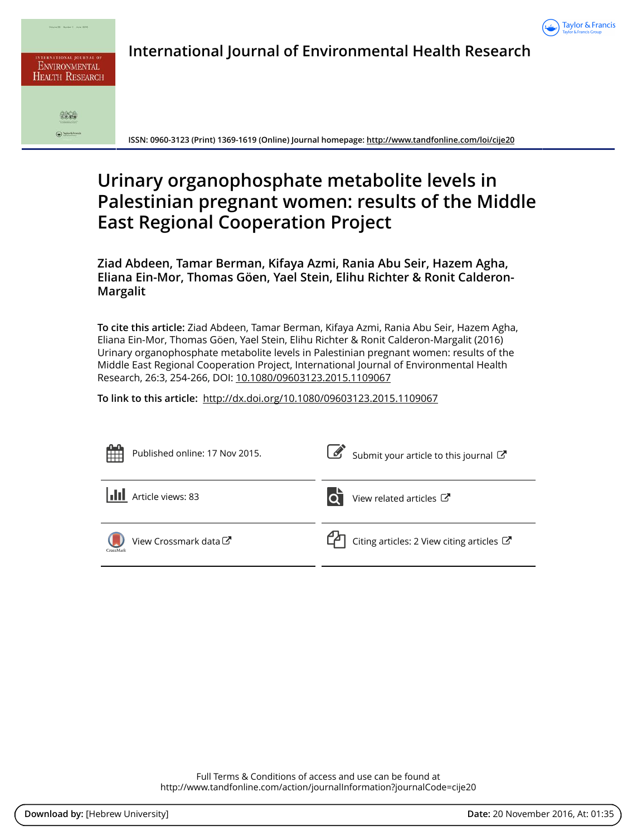

| <b>INTERNATIONAL JOURNAL OF</b><br><b>ENVIRONMENTAL</b><br><b>HEALTH RESEARCH</b> |
|-----------------------------------------------------------------------------------|
|                                                                                   |
|                                                                                   |

 $\bigodot$  layer 6.5 cm

**International Journal of Environmental Health Research**

**ISSN: 0960-3123 (Print) 1369-1619 (Online) Journal homepage:<http://www.tandfonline.com/loi/cije20>**

# **Urinary organophosphate metabolite levels in Palestinian pregnant women: results of the Middle East Regional Cooperation Project**

**Ziad Abdeen, Tamar Berman, Kifaya Azmi, Rania Abu Seir, Hazem Agha, Eliana Ein-Mor, Thomas Göen, Yael Stein, Elihu Richter & Ronit Calderon-Margalit**

**To cite this article:** Ziad Abdeen, Tamar Berman, Kifaya Azmi, Rania Abu Seir, Hazem Agha, Eliana Ein-Mor, Thomas Göen, Yael Stein, Elihu Richter & Ronit Calderon-Margalit (2016) Urinary organophosphate metabolite levels in Palestinian pregnant women: results of the Middle East Regional Cooperation Project, International Journal of Environmental Health Research, 26:3, 254-266, DOI: [10.1080/09603123.2015.1109067](http://www.tandfonline.com/action/showCitFormats?doi=10.1080/09603123.2015.1109067)

**To link to this article:** <http://dx.doi.org/10.1080/09603123.2015.1109067>



Full Terms & Conditions of access and use can be found at <http://www.tandfonline.com/action/journalInformation?journalCode=cije20>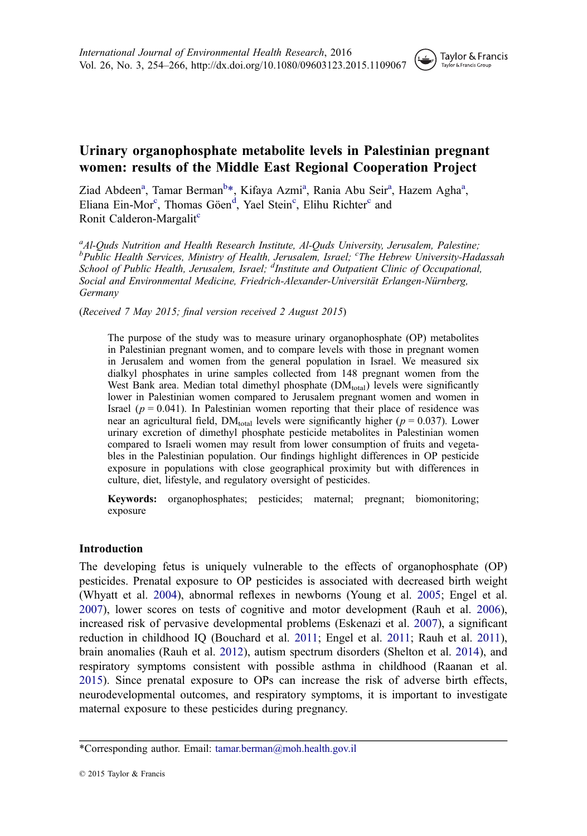## Urinary organophosphate metabolite levels in Palestinian pregnant women: results of the Middle East Regional Cooperation Project

Ziad Abdeen<sup>a</sup>, Tamar Berman<sup>b</sup>\*, Kifaya Azmi<sup>a</sup>, Rania Abu Seir<sup>a</sup>, Hazem Agha<sup>a</sup>, Eliana Ein-Mor<sup>c</sup>, Thomas Göen<sup>d</sup>, Yael Stein<sup>c</sup>, Elihu Richter<sup>c</sup> and Ronit Calderon-Margalit<sup>c</sup>

<sup>a</sup>Al-Quds Nutrition and Health Research Institute, Al-Quds University, Jerusalem, Palestine; <sup>b</sup>Public Health Services, Ministry of Health, Jerusalem, Israel; <sup>c</sup>The Hebrew University-Hadassah School of Public Health, Jerusalem, Israel; <sup>d</sup>Institute and Outpatient Clinic of Occupational, Social and Environmental Medicine, Friedrich-Alexander-Universität Erlangen-Nürnberg, Germany

(Received 7 May 2015; final version received 2 August 2015)

The purpose of the study was to measure urinary organophosphate (OP) metabolites in Palestinian pregnant women, and to compare levels with those in pregnant women in Jerusalem and women from the general population in Israel. We measured six dialkyl phosphates in urine samples collected from 148 pregnant women from the West Bank area. Median total dimethyl phosphate (DM<sub>total</sub>) levels were significantly lower in Palestinian women compared to Jerusalem pregnant women and women in Israel ( $p = 0.041$ ). In Palestinian women reporting that their place of residence was near an agricultural field,  $DM_{total}$  levels were significantly higher ( $p = 0.037$ ). Lower urinary excretion of dimethyl phosphate pesticide metabolites in Palestinian women compared to Israeli women may result from lower consumption of fruits and vegetables in the Palestinian population. Our findings highlight differences in OP pesticide exposure in populations with close geographical proximity but with differences in culture, diet, lifestyle, and regulatory oversight of pesticides.

Keywords: organophosphates; pesticides; maternal; pregnant; biomonitoring; exposure

#### Introduction

The developing fetus is uniquely vulnerable to the effects of organophosphate (OP) pesticides. Prenatal exposure to OP pesticides is associated with decreased birth weight (Whyatt et al. [2004\)](#page-13-0), abnormal reflexes in newborns (Young et al. [2005;](#page-13-0) Engel et al. [2007\)](#page-12-0), lower scores on tests of cognitive and motor development (Rauh et al. [2006\)](#page-13-0), increased risk of pervasive developmental problems (Eskenazi et al. [2007](#page-12-0)), a significant reduction in childhood IQ (Bouchard et al. [2011](#page-11-0); Engel et al. [2011](#page-12-0); Rauh et al. [2011\)](#page-13-0), brain anomalies (Rauh et al. [2012\)](#page-13-0), autism spectrum disorders (Shelton et al. [2014](#page-13-0)), and respiratory symptoms consistent with possible asthma in childhood (Raanan et al. [2015\)](#page-12-0). Since prenatal exposure to OPs can increase the risk of adverse birth effects, neurodevelopmental outcomes, and respiratory symptoms, it is important to investigate maternal exposure to these pesticides during pregnancy.

<sup>\*</sup>Corresponding author. Email: [tamar.berman@moh.health.gov.il](mailto:tamar.berman@moh.health.gov.il)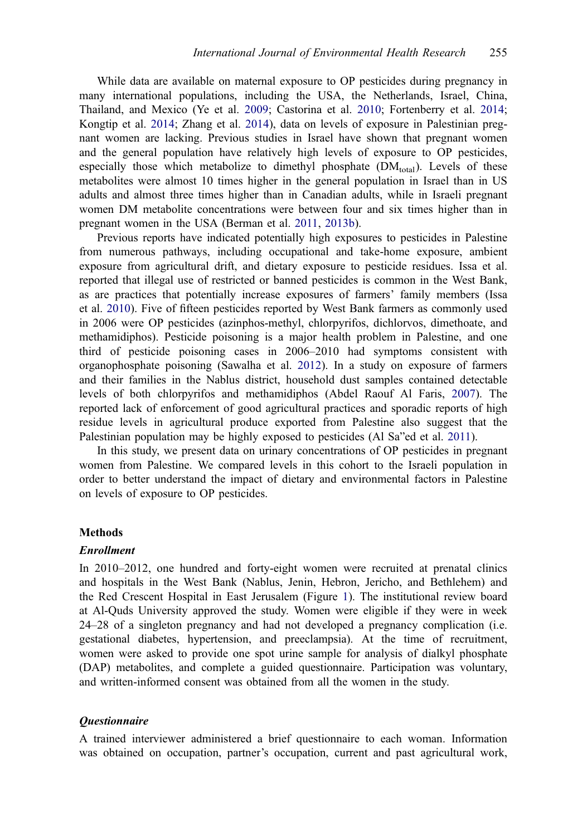While data are available on maternal exposure to OP pesticides during pregnancy in many international populations, including the USA, the Netherlands, Israel, China, Thailand, and Mexico (Ye et al. [2009;](#page-13-0) Castorina et al. [2010](#page-11-0); Fortenberry et al. [2014;](#page-12-0) Kongtip et al. [2014;](#page-12-0) Zhang et al. [2014](#page-13-0)), data on levels of exposure in Palestinian pregnant women are lacking. Previous studies in Israel have shown that pregnant women and the general population have relatively high levels of exposure to OP pesticides, especially those which metabolize to dimethyl phosphate  $(DM<sub>total</sub>)$ . Levels of these metabolites were almost 10 times higher in the general population in Israel than in US adults and almost three times higher than in Canadian adults, while in Israeli pregnant women DM metabolite concentrations were between four and six times higher than in pregnant women in the USA (Berman et al. [2011](#page-11-0), [2013b](#page-11-0)).

Previous reports have indicated potentially high exposures to pesticides in Palestine from numerous pathways, including occupational and take-home exposure, ambient exposure from agricultural drift, and dietary exposure to pesticide residues. Issa et al. reported that illegal use of restricted or banned pesticides is common in the West Bank, as are practices that potentially increase exposures of farmers' family members (Issa et al. [2010\)](#page-12-0). Five of fifteen pesticides reported by West Bank farmers as commonly used in 2006 were OP pesticides (azinphos-methyl, chlorpyrifos, dichlorvos, dimethoate, and methamidiphos). Pesticide poisoning is a major health problem in Palestine, and one third of pesticide poisoning cases in 2006–2010 had symptoms consistent with organophosphate poisoning (Sawalha et al. [2012](#page-13-0)). In a study on exposure of farmers and their families in the Nablus district, household dust samples contained detectable levels of both chlorpyrifos and methamidiphos (Abdel Raouf Al Faris, [2007\)](#page-11-0). The reported lack of enforcement of good agricultural practices and sporadic reports of high residue levels in agricultural produce exported from Palestine also suggest that the Palestinian population may be highly exposed to pesticides (Al Sa"ed et al. [2011](#page-11-0)).

In this study, we present data on urinary concentrations of OP pesticides in pregnant women from Palestine. We compared levels in this cohort to the Israeli population in order to better understand the impact of dietary and environmental factors in Palestine on levels of exposure to OP pesticides.

#### **Methods**

#### Enrollment

In 2010–2012, one hundred and forty-eight women were recruited at prenatal clinics and hospitals in the West Bank (Nablus, Jenin, Hebron, Jericho, and Bethlehem) and the Red Crescent Hospital in East Jerusalem (Figure [1\)](#page-3-0). The institutional review board at Al-Quds University approved the study. Women were eligible if they were in week 24–28 of a singleton pregnancy and had not developed a pregnancy complication (i.e. gestational diabetes, hypertension, and preeclampsia). At the time of recruitment, women were asked to provide one spot urine sample for analysis of dialkyl phosphate (DAP) metabolites, and complete a guided questionnaire. Participation was voluntary, and written-informed consent was obtained from all the women in the study.

#### Questionnaire

A trained interviewer administered a brief questionnaire to each woman. Information was obtained on occupation, partner's occupation, current and past agricultural work,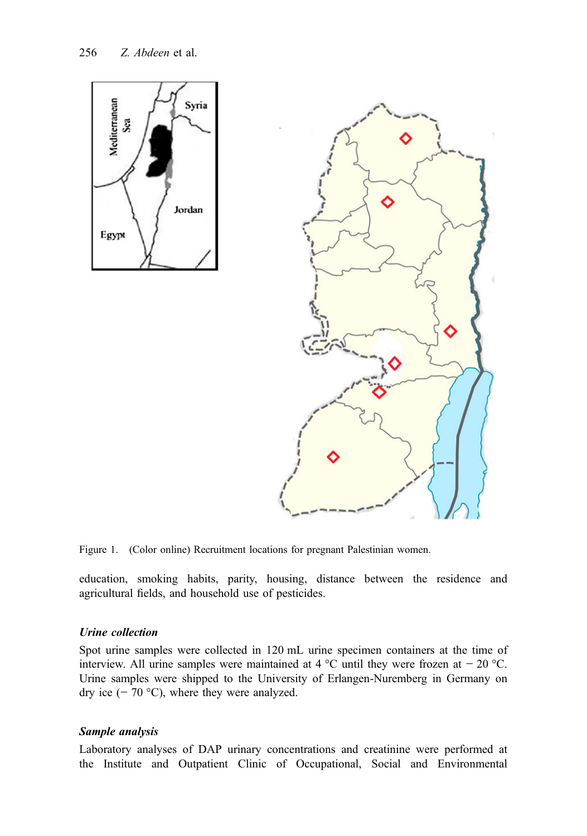<span id="page-3-0"></span>



Figure 1. (Color online) Recruitment locations for pregnant Palestinian women.

education, smoking habits, parity, housing, distance between the residence and agricultural fields, and household use of pesticides.

#### Urine collection

Spot urine samples were collected in 120 mL urine specimen containers at the time of interview. All urine samples were maintained at 4 °C until they were frozen at  $-20$  °C. Urine samples were shipped to the University of Erlangen-Nuremberg in Germany on dry ice  $(-70 °C)$ , where they were analyzed.

### Sample analysis

Laboratory analyses of DAP urinary concentrations and creatinine were performed at the Institute and Outpatient Clinic of Occupational, Social and Environmental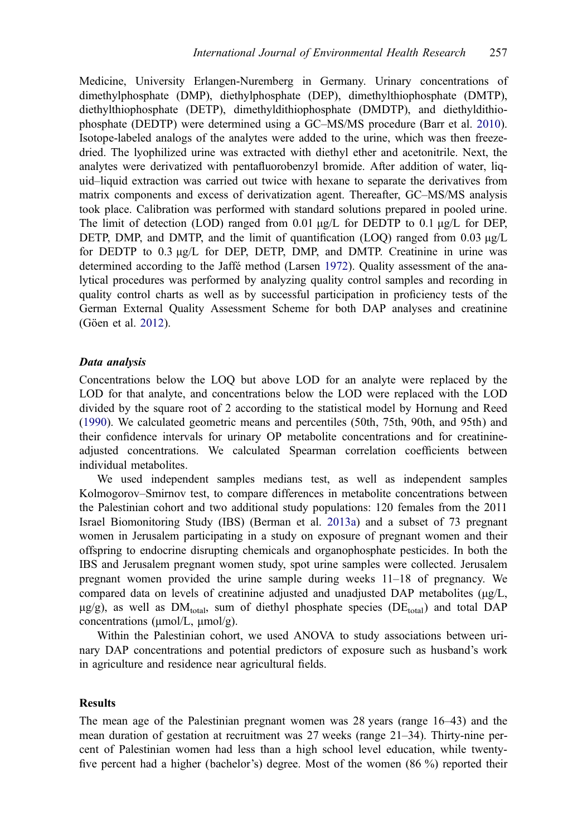Medicine, University Erlangen-Nuremberg in Germany. Urinary concentrations of dimethylphosphate (DMP), diethylphosphate (DEP), dimethylthiophosphate (DMTP), diethylthiophosphate (DETP), dimethyldithiophosphate (DMDTP), and diethyldithiophosphate (DEDTP) were determined using a GC–MS/MS procedure (Barr et al. [2010\)](#page-11-0). Isotope-labeled analogs of the analytes were added to the urine, which was then freezedried. The lyophilized urine was extracted with diethyl ether and acetonitrile. Next, the analytes were derivatized with pentafluorobenzyl bromide. After addition of water, liquid–liquid extraction was carried out twice with hexane to separate the derivatives from matrix components and excess of derivatization agent. Thereafter, GC–MS/MS analysis took place. Calibration was performed with standard solutions prepared in pooled urine. The limit of detection (LOD) ranged from 0.01  $\mu$ g/L for DEDTP to 0.1  $\mu$ g/L for DEP, DETP, DMP, and DMTP, and the limit of quantification (LOO) ranged from 0.03  $\mu$ g/L for DEDTP to 0.3 μg/L for DEP, DETP, DMP, and DMTP. Creatinine in urine was determined according to the Jaffé method (Larsen [1972\)](#page-12-0). Quality assessment of the analytical procedures was performed by analyzing quality control samples and recording in quality control charts as well as by successful participation in proficiency tests of the German External Quality Assessment Scheme for both DAP analyses and creatinine (Göen et al. [2012\)](#page-12-0).

#### Data analysis

Concentrations below the LOQ but above LOD for an analyte were replaced by the LOD for that analyte, and concentrations below the LOD were replaced with the LOD divided by the square root of 2 according to the statistical model by Hornung and Reed ([1990\)](#page-12-0). We calculated geometric means and percentiles (50th, 75th, 90th, and 95th) and their confidence intervals for urinary OP metabolite concentrations and for creatinineadjusted concentrations. We calculated Spearman correlation coefficients between individual metabolites.

We used independent samples medians test, as well as independent samples Kolmogorov–Smirnov test, to compare differences in metabolite concentrations between the Palestinian cohort and two additional study populations: 120 females from the 2011 Israel Biomonitoring Study (IBS) (Berman et al. [2013a](#page-11-0)) and a subset of 73 pregnant women in Jerusalem participating in a study on exposure of pregnant women and their offspring to endocrine disrupting chemicals and organophosphate pesticides. In both the IBS and Jerusalem pregnant women study, spot urine samples were collected. Jerusalem pregnant women provided the urine sample during weeks 11–18 of pregnancy. We compared data on levels of creatinine adjusted and unadjusted DAP metabolites (μg/L,  $\mu$ g/g), as well as DM<sub>total</sub>, sum of diethyl phosphate species (DE<sub>total</sub>) and total DAP concentrations (μmol/L, μmol/g).

Within the Palestinian cohort, we used ANOVA to study associations between urinary DAP concentrations and potential predictors of exposure such as husband's work in agriculture and residence near agricultural fields.

#### **Results**

The mean age of the Palestinian pregnant women was 28 years (range 16–43) and the mean duration of gestation at recruitment was 27 weeks (range 21–34). Thirty-nine percent of Palestinian women had less than a high school level education, while twentyfive percent had a higher (bachelor's) degree. Most of the women (86 %) reported their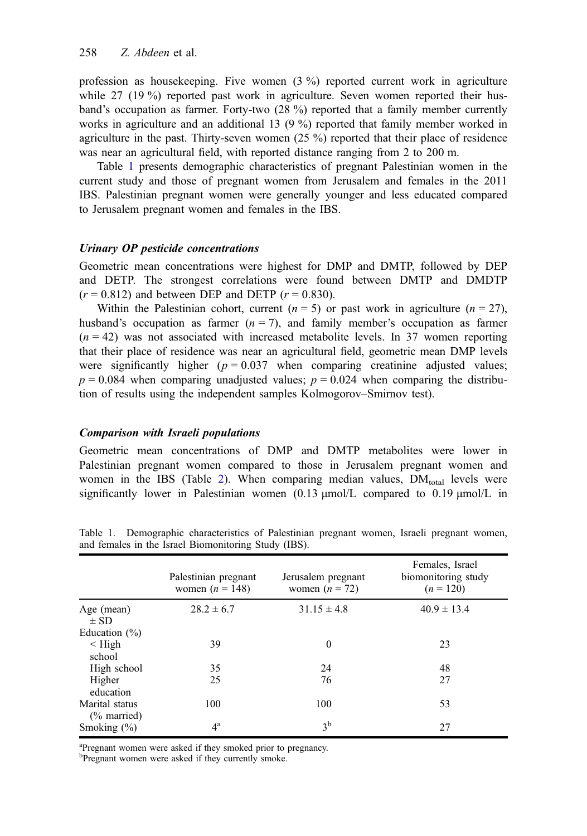profession as housekeeping. Five women (3 %) reported current work in agriculture while 27 (19 %) reported past work in agriculture. Seven women reported their husband's occupation as farmer. Forty-two (28 %) reported that a family member currently works in agriculture and an additional 13 (9 %) reported that family member worked in agriculture in the past. Thirty-seven women (25 %) reported that their place of residence was near an agricultural field, with reported distance ranging from 2 to 200 m.

Table 1 presents demographic characteristics of pregnant Palestinian women in the current study and those of pregnant women from Jerusalem and females in the 2011 IBS. Palestinian pregnant women were generally younger and less educated compared to Jerusalem pregnant women and females in the IBS.

#### Urinary OP pesticide concentrations

Geometric mean concentrations were highest for DMP and DMTP, followed by DEP and DETP. The strongest correlations were found between DMTP and DMDTP  $(r = 0.812)$  and between DEP and DETP  $(r = 0.830)$ .

Within the Palestinian cohort, current ( $n = 5$ ) or past work in agriculture ( $n = 27$ ), husband's occupation as farmer  $(n = 7)$ , and family member's occupation as farmer  $(n = 42)$  was not associated with increased metabolite levels. In 37 women reporting that their place of residence was near an agricultural field, geometric mean DMP levels were significantly higher ( $p = 0.037$  when comparing creatinine adjusted values;  $p = 0.084$  when comparing unadjusted values;  $p = 0.024$  when comparing the distribution of results using the independent samples Kolmogorov–Smirnov test).

#### Comparison with Israeli populations

Geometric mean concentrations of DMP and DMTP metabolites were lower in Palestinian pregnant women compared to those in Jerusalem pregnant women and women in the IBS (Table [2](#page-6-0)). When comparing median values,  $DM_{total}$  levels were significantly lower in Palestinian women (0.13 μmol/L compared to 0.19 μmol/L in

|                                          | Palestinian pregnant<br>women $(n = 148)$ | Jerusalem pregnant<br>women $(n = 72)$ | Females, Israel<br>biomonitoring study<br>$(n = 120)$ |
|------------------------------------------|-------------------------------------------|----------------------------------------|-------------------------------------------------------|
| Age (mean)<br>$\pm$ SD                   | $28.2 \pm 6.7$                            | $31.15 \pm 4.8$                        | $40.9 \pm 13.4$                                       |
| Education $(\% )$                        |                                           |                                        |                                                       |
| $\leq$ High<br>school                    | 39                                        | $\mathbf{0}$                           | 23                                                    |
| High school                              | 35                                        | 24                                     | 48                                                    |
| Higher<br>education                      | 25                                        | 76                                     | 27                                                    |
| Marital status<br>$\frac{6}{6}$ married) | 100                                       | 100                                    | 53                                                    |
| Smoking $(\% )$                          | $4^{\rm a}$                               | 3 <sup>b</sup>                         | 27                                                    |

Table 1. Demographic characteristics of Palestinian pregnant women, Israeli pregnant women, and females in the Israel Biomonitoring Study (IBS).

<sup>a</sup>Pregnant women were asked if they smoked prior to pregnancy.

<sup>b</sup>Pregnant women were asked if they currently smoke.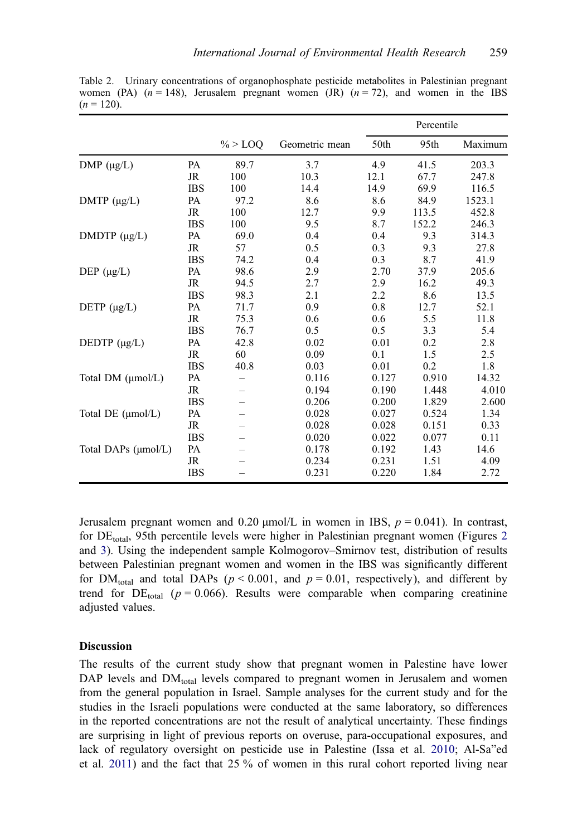|                     |            |            |                | Percentile |       |         |
|---------------------|------------|------------|----------------|------------|-------|---------|
|                     |            | $\% >$ LOO | Geometric mean | 50th       | 95th  | Maximum |
| $DMP (\mu g/L)$     | PA         | 89.7       | 3.7            | 4.9        | 41.5  | 203.3   |
|                     | JR         | 100        | 10.3           | 12.1       | 67.7  | 247.8   |
|                     | <b>IBS</b> | 100        | 14.4           | 14.9       | 69.9  | 116.5   |
| DMTP $(\mu g/L)$    | PA         | 97.2       | 8.6            | 8.6        | 84.9  | 1523.1  |
|                     | <b>JR</b>  | 100        | 12.7           | 9.9        | 113.5 | 452.8   |
|                     | <b>IBS</b> | 100        | 9.5            | 8.7        | 152.2 | 246.3   |
| DMDTP $(\mu g/L)$   | PA         | 69.0       | 0.4            | 0.4        | 9.3   | 314.3   |
|                     | JR         | 57         | 0.5            | 0.3        | 9.3   | 27.8    |
|                     | <b>IBS</b> | 74.2       | 0.4            | 0.3        | 8.7   | 41.9    |
| DEP $(\mu g/L)$     | PA         | 98.6       | 2.9            | 2.70       | 37.9  | 205.6   |
|                     | JR         | 94.5       | 2.7            | 2.9        | 16.2  | 49.3    |
|                     | <b>IBS</b> | 98.3       | 2.1            | 2.2        | 8.6   | 13.5    |
| DETP $(\mu g/L)$    | PA         | 71.7       | 0.9            | 0.8        | 12.7  | 52.1    |
|                     | <b>JR</b>  | 75.3       | 0.6            | 0.6        | 5.5   | 11.8    |
|                     | <b>IBS</b> | 76.7       | 0.5            | 0.5        | 3.3   | 5.4     |
| DEDTP $(\mu g/L)$   | PA         | 42.8       | 0.02           | 0.01       | 0.2   | 2.8     |
|                     | JR         | 60         | 0.09           | 0.1        | 1.5   | 2.5     |
|                     | <b>IBS</b> | 40.8       | 0.03           | 0.01       | 0.2   | 1.8     |
| Total DM (µmol/L)   | PA         |            | 0.116          | 0.127      | 0.910 | 14.32   |
|                     | JR         |            | 0.194          | 0.190      | 1.448 | 4.010   |
|                     | <b>IBS</b> |            | 0.206          | 0.200      | 1.829 | 2.600   |
| Total DE (umol/L)   | PA         |            | 0.028          | 0.027      | 0.524 | 1.34    |
|                     | <b>JR</b>  |            | 0.028          | 0.028      | 0.151 | 0.33    |
|                     | <b>IBS</b> |            | 0.020          | 0.022      | 0.077 | 0.11    |
| Total DAPs (µmol/L) | <b>PA</b>  |            | 0.178          | 0.192      | 1.43  | 14.6    |
|                     | JR         |            | 0.234          | 0.231      | 1.51  | 4.09    |
|                     | <b>IBS</b> |            | 0.231          | 0.220      | 1.84  | 2.72    |

<span id="page-6-0"></span>Table 2. Urinary concentrations of organophosphate pesticide metabolites in Palestinian pregnant women (PA)  $(n = 148)$ , Jerusalem pregnant women (JR)  $(n = 72)$ , and women in the IBS  $(n = 120)$ .

Jerusalem pregnant women and 0.20  $\mu$ mol/L in women in IBS,  $p = 0.041$ ). In contrast, for  $DE_{total}$ , 95th percentile levels were higher in Palestinian pregnant women (Figures [2](#page-7-0)) and [3\)](#page-8-0). Using the independent sample Kolmogorov–Smirnov test, distribution of results between Palestinian pregnant women and women in the IBS was significantly different for DM<sub>total</sub> and total DAPs ( $p < 0.001$ , and  $p = 0.01$ , respectively), and different by trend for DE<sub>total</sub> ( $p = 0.066$ ). Results were comparable when comparing creatinine adjusted values.

#### **Discussion**

The results of the current study show that pregnant women in Palestine have lower DAP levels and  $DM_{total}$  levels compared to pregnant women in Jerusalem and women from the general population in Israel. Sample analyses for the current study and for the studies in the Israeli populations were conducted at the same laboratory, so differences in the reported concentrations are not the result of analytical uncertainty. These findings are surprising in light of previous reports on overuse, para-occupational exposures, and lack of regulatory oversight on pesticide use in Palestine (Issa et al. [2010](#page-12-0); Al-Sa"ed et al. [2011](#page-11-0)) and the fact that 25 % of women in this rural cohort reported living near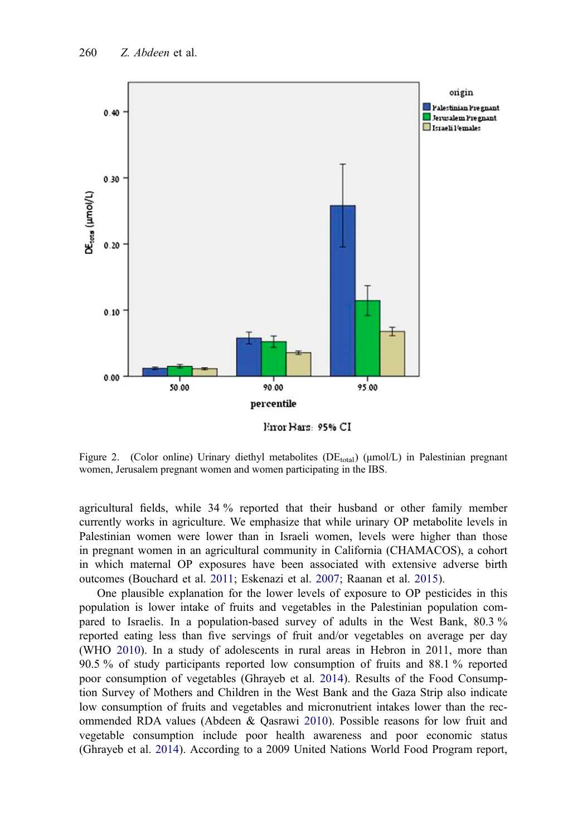<span id="page-7-0"></span>

Error Bars: 95% CI

Figure 2. (Color online) Urinary diethyl metabolites ( $DE_{total}$ ) ( $\mu$ mol/L) in Palestinian pregnant women, Jerusalem pregnant women and women participating in the IBS.

agricultural fields, while 34 % reported that their husband or other family member currently works in agriculture. We emphasize that while urinary OP metabolite levels in Palestinian women were lower than in Israeli women, levels were higher than those in pregnant women in an agricultural community in California (CHAMACOS), a cohort in which maternal OP exposures have been associated with extensive adverse birth outcomes (Bouchard et al. [2011;](#page-11-0) Eskenazi et al. [2007;](#page-12-0) Raanan et al. [2015\)](#page-12-0).

One plausible explanation for the lower levels of exposure to OP pesticides in this population is lower intake of fruits and vegetables in the Palestinian population compared to Israelis. In a population-based survey of adults in the West Bank, 80.3 % reported eating less than five servings of fruit and/or vegetables on average per day (WHO [2010](#page-13-0)). In a study of adolescents in rural areas in Hebron in 2011, more than 90.5 % of study participants reported low consumption of fruits and 88.1 % reported poor consumption of vegetables (Ghrayeb et al. [2014\)](#page-12-0). Results of the Food Consumption Survey of Mothers and Children in the West Bank and the Gaza Strip also indicate low consumption of fruits and vegetables and micronutrient intakes lower than the recommended RDA values (Abdeen & Qasrawi [2010\)](#page-11-0). Possible reasons for low fruit and vegetable consumption include poor health awareness and poor economic status (Ghrayeb et al. [2014\)](#page-12-0). According to a 2009 United Nations World Food Program report,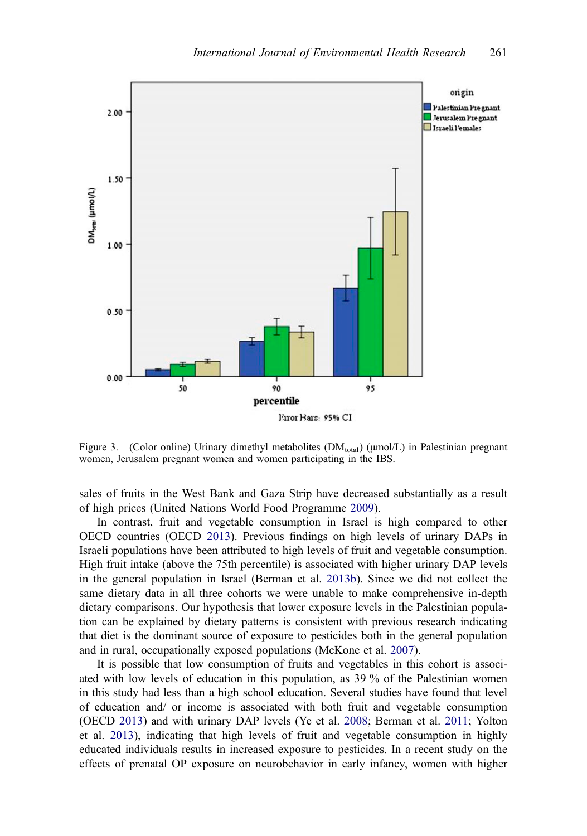<span id="page-8-0"></span>

Figure 3. (Color online) Urinary dimethyl metabolites  $(DM<sub>total</sub>) (\mu m o/L)$  in Palestinian pregnant women, Jerusalem pregnant women and women participating in the IBS.

sales of fruits in the West Bank and Gaza Strip have decreased substantially as a result of high prices (United Nations World Food Programme [2009\)](#page-13-0).

In contrast, fruit and vegetable consumption in Israel is high compared to other OECD countries (OECD [2013\)](#page-12-0). Previous findings on high levels of urinary DAPs in Israeli populations have been attributed to high levels of fruit and vegetable consumption. High fruit intake (above the 75th percentile) is associated with higher urinary DAP levels in the general population in Israel (Berman et al. [2013b\)](#page-11-0). Since we did not collect the same dietary data in all three cohorts we were unable to make comprehensive in-depth dietary comparisons. Our hypothesis that lower exposure levels in the Palestinian population can be explained by dietary patterns is consistent with previous research indicating that diet is the dominant source of exposure to pesticides both in the general population and in rural, occupationally exposed populations (McKone et al. [2007](#page-12-0)).

It is possible that low consumption of fruits and vegetables in this cohort is associated with low levels of education in this population, as 39 % of the Palestinian women in this study had less than a high school education. Several studies have found that level of education and/ or income is associated with both fruit and vegetable consumption (OECD [2013](#page-12-0)) and with urinary DAP levels (Ye et al. [2008](#page-13-0); Berman et al. [2011;](#page-11-0) Yolton et al. [2013\)](#page-13-0), indicating that high levels of fruit and vegetable consumption in highly educated individuals results in increased exposure to pesticides. In a recent study on the effects of prenatal OP exposure on neurobehavior in early infancy, women with higher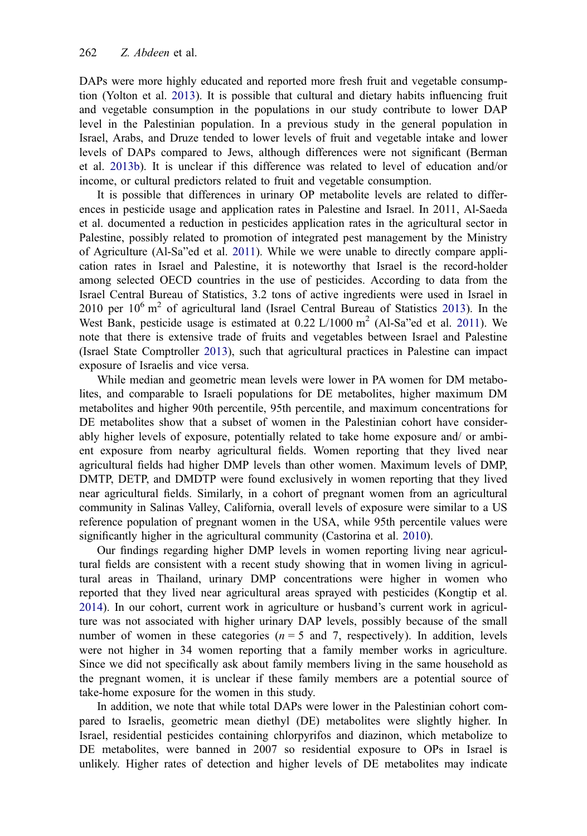DAPs were more highly educated and reported more fresh fruit and vegetable consumption (Yolton et al. [2013](#page-13-0)). It is possible that cultural and dietary habits influencing fruit and vegetable consumption in the populations in our study contribute to lower DAP level in the Palestinian population. In a previous study in the general population in Israel, Arabs, and Druze tended to lower levels of fruit and vegetable intake and lower levels of DAPs compared to Jews, although differences were not significant (Berman et al. [2013b\)](#page-11-0). It is unclear if this difference was related to level of education and/or income, or cultural predictors related to fruit and vegetable consumption.

It is possible that differences in urinary OP metabolite levels are related to differences in pesticide usage and application rates in Palestine and Israel. In 2011, Al-Saeda et al. documented a reduction in pesticides application rates in the agricultural sector in Palestine, possibly related to promotion of integrated pest management by the Ministry of Agriculture (Al-Sa"ed et al. [2011](#page-11-0)). While we were unable to directly compare application rates in Israel and Palestine, it is noteworthy that Israel is the record-holder among selected OECD countries in the use of pesticides. According to data from the Israel Central Bureau of Statistics, 3.2 tons of active ingredients were used in Israel in 2010 per  $10^6$  m<sup>2</sup> of agricultural land (Israel Central Bureau of Statistics [2013\)](#page-12-0). In the West Bank, pesticide usage is estimated at  $0.22 \text{ L}/1000 \text{ m}^2$  (Al-Sa"ed et al. [2011\)](#page-11-0). We note that there is extensive trade of fruits and vegetables between Israel and Palestine (Israel State Comptroller [2013\)](#page-12-0), such that agricultural practices in Palestine can impact exposure of Israelis and vice versa.

While median and geometric mean levels were lower in PA women for DM metabolites, and comparable to Israeli populations for DE metabolites, higher maximum DM metabolites and higher 90th percentile, 95th percentile, and maximum concentrations for DE metabolites show that a subset of women in the Palestinian cohort have considerably higher levels of exposure, potentially related to take home exposure and/ or ambient exposure from nearby agricultural fields. Women reporting that they lived near agricultural fields had higher DMP levels than other women. Maximum levels of DMP, DMTP, DETP, and DMDTP were found exclusively in women reporting that they lived near agricultural fields. Similarly, in a cohort of pregnant women from an agricultural community in Salinas Valley, California, overall levels of exposure were similar to a US reference population of pregnant women in the USA, while 95th percentile values were significantly higher in the agricultural community (Castorina et al. [2010\)](#page-11-0).

Our findings regarding higher DMP levels in women reporting living near agricultural fields are consistent with a recent study showing that in women living in agricultural areas in Thailand, urinary DMP concentrations were higher in women who reported that they lived near agricultural areas sprayed with pesticides (Kongtip et al. [2014\)](#page-12-0). In our cohort, current work in agriculture or husband's current work in agriculture was not associated with higher urinary DAP levels, possibly because of the small number of women in these categories ( $n = 5$  and 7, respectively). In addition, levels were not higher in 34 women reporting that a family member works in agriculture. Since we did not specifically ask about family members living in the same household as the pregnant women, it is unclear if these family members are a potential source of take-home exposure for the women in this study.

In addition, we note that while total DAPs were lower in the Palestinian cohort compared to Israelis, geometric mean diethyl (DE) metabolites were slightly higher. In Israel, residential pesticides containing chlorpyrifos and diazinon, which metabolize to DE metabolites, were banned in 2007 so residential exposure to OPs in Israel is unlikely. Higher rates of detection and higher levels of DE metabolites may indicate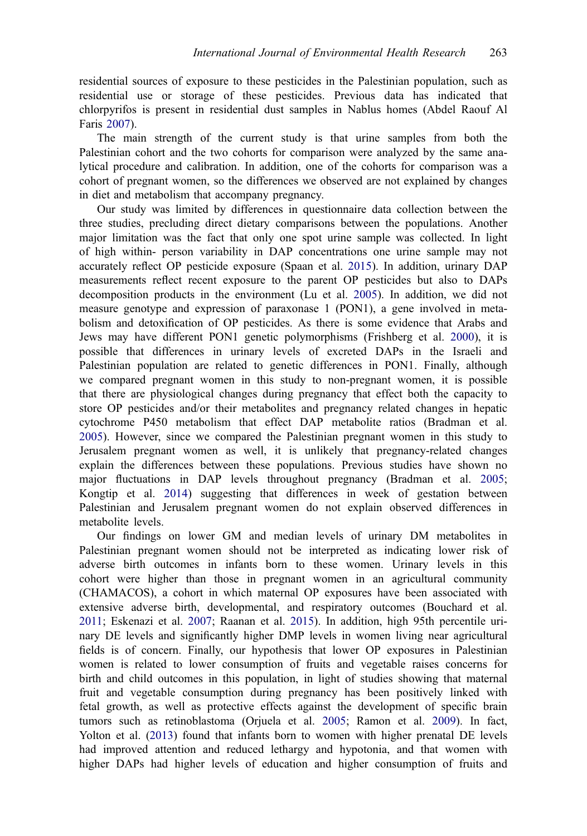residential sources of exposure to these pesticides in the Palestinian population, such as residential use or storage of these pesticides. Previous data has indicated that chlorpyrifos is present in residential dust samples in Nablus homes (Abdel Raouf Al Faris [2007\)](#page-11-0).

The main strength of the current study is that urine samples from both the Palestinian cohort and the two cohorts for comparison were analyzed by the same analytical procedure and calibration. In addition, one of the cohorts for comparison was a cohort of pregnant women, so the differences we observed are not explained by changes in diet and metabolism that accompany pregnancy.

Our study was limited by differences in questionnaire data collection between the three studies, precluding direct dietary comparisons between the populations. Another major limitation was the fact that only one spot urine sample was collected. In light of high within- person variability in DAP concentrations one urine sample may not accurately reflect OP pesticide exposure (Spaan et al. [2015\)](#page-13-0). In addition, urinary DAP measurements reflect recent exposure to the parent OP pesticides but also to DAPs decomposition products in the environment (Lu et al. [2005](#page-12-0)). In addition, we did not measure genotype and expression of paraxonase 1 (PON1), a gene involved in metabolism and detoxification of OP pesticides. As there is some evidence that Arabs and Jews may have different PON1 genetic polymorphisms (Frishberg et al. [2000\)](#page-12-0), it is possible that differences in urinary levels of excreted DAPs in the Israeli and Palestinian population are related to genetic differences in PON1. Finally, although we compared pregnant women in this study to non-pregnant women, it is possible that there are physiological changes during pregnancy that effect both the capacity to store OP pesticides and/or their metabolites and pregnancy related changes in hepatic cytochrome P450 metabolism that effect DAP metabolite ratios (Bradman et al. [2005\)](#page-11-0). However, since we compared the Palestinian pregnant women in this study to Jerusalem pregnant women as well, it is unlikely that pregnancy-related changes explain the differences between these populations. Previous studies have shown no major fluctuations in DAP levels throughout pregnancy (Bradman et al. [2005;](#page-11-0) Kongtip et al. [2014\)](#page-12-0) suggesting that differences in week of gestation between Palestinian and Jerusalem pregnant women do not explain observed differences in metabolite levels.

Our findings on lower GM and median levels of urinary DM metabolites in Palestinian pregnant women should not be interpreted as indicating lower risk of adverse birth outcomes in infants born to these women. Urinary levels in this cohort were higher than those in pregnant women in an agricultural community (CHAMACOS), a cohort in which maternal OP exposures have been associated with extensive adverse birth, developmental, and respiratory outcomes (Bouchard et al. [2011](#page-11-0); Eskenazi et al. [2007](#page-12-0); Raanan et al. [2015](#page-12-0)). In addition, high 95th percentile urinary DE levels and significantly higher DMP levels in women living near agricultural fields is of concern. Finally, our hypothesis that lower OP exposures in Palestinian women is related to lower consumption of fruits and vegetable raises concerns for birth and child outcomes in this population, in light of studies showing that maternal fruit and vegetable consumption during pregnancy has been positively linked with fetal growth, as well as protective effects against the development of specific brain tumors such as retinoblastoma (Orjuela et al. [2005](#page-12-0); Ramon et al. [2009](#page-12-0)). In fact, Yolton et al. ([2013\)](#page-13-0) found that infants born to women with higher prenatal DE levels had improved attention and reduced lethargy and hypotonia, and that women with higher DAPs had higher levels of education and higher consumption of fruits and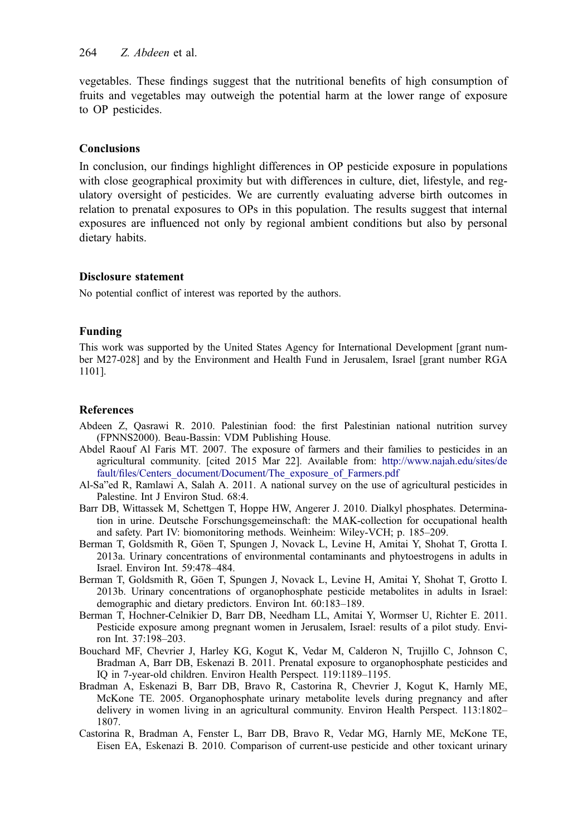<span id="page-11-0"></span>vegetables. These findings suggest that the nutritional benefits of high consumption of fruits and vegetables may outweigh the potential harm at the lower range of exposure to OP pesticides.

#### Conclusions

In conclusion, our findings highlight differences in OP pesticide exposure in populations with close geographical proximity but with differences in culture, diet, lifestyle, and regulatory oversight of pesticides. We are currently evaluating adverse birth outcomes in relation to prenatal exposures to OPs in this population. The results suggest that internal exposures are influenced not only by regional ambient conditions but also by personal dietary habits.

#### Disclosure statement

No potential conflict of interest was reported by the authors.

#### Funding

This work was supported by the United States Agency for International Development [grant number M27-028] and by the Environment and Health Fund in Jerusalem, Israel [grant number RGA 1101].

#### References

- Abdeen Z, Qasrawi R. 2010. Palestinian food: the first Palestinian national nutrition survey (FPNNS2000). Beau-Bassin: VDM Publishing House.
- Abdel Raouf Al Faris MT. 2007. The exposure of farmers and their families to pesticides in an agricultural community. [cited 2015 Mar 22]. Available from: [http://www.najah.edu/sites/de](http://www.najah.edu/sites/default/files/Centers_document/Document/The_exposure_of_Farmers.pdf) fault/fi[les/Centers\\_document/Document/The\\_exposure\\_of\\_Farmers.pdf](http://www.najah.edu/sites/default/files/Centers_document/Document/The_exposure_of_Farmers.pdf)
- Al-Sa"ed R, Ramlawi A, Salah A. 2011. A national survey on the use of agricultural pesticides in Palestine. Int J Environ Stud. 68:4.
- Barr DB, Wittassek M, Schettgen T, Hoppe HW, Angerer J. 2010. Dialkyl phosphates. Determination in urine. Deutsche Forschungsgemeinschaft: the MAK-collection for occupational health and safety. Part IV: biomonitoring methods. Weinheim: Wiley-VCH; p. 185–209.
- Berman T, Goldsmith R, Göen T, Spungen J, Novack L, Levine H, Amitai Y, Shohat T, Grotta I. 2013a. Urinary concentrations of environmental contaminants and phytoestrogens in adults in Israel. Environ Int. 59:478–484.
- Berman T, Goldsmith R, Göen T, Spungen J, Novack L, Levine H, Amitai Y, Shohat T, Grotto I. 2013b. Urinary concentrations of organophosphate pesticide metabolites in adults in Israel: demographic and dietary predictors. Environ Int. 60:183–189.
- Berman T, Hochner-Celnikier D, Barr DB, Needham LL, Amitai Y, Wormser U, Richter E. 2011. Pesticide exposure among pregnant women in Jerusalem, Israel: results of a pilot study. Environ Int. 37:198–203.
- Bouchard MF, Chevrier J, Harley KG, Kogut K, Vedar M, Calderon N, Trujillo C, Johnson C, Bradman A, Barr DB, Eskenazi B. 2011. Prenatal exposure to organophosphate pesticides and IQ in 7-year-old children. Environ Health Perspect. 119:1189–1195.
- Bradman A, Eskenazi B, Barr DB, Bravo R, Castorina R, Chevrier J, Kogut K, Harnly ME, McKone TE. 2005. Organophosphate urinary metabolite levels during pregnancy and after delivery in women living in an agricultural community. Environ Health Perspect. 113:1802– 1807.
- Castorina R, Bradman A, Fenster L, Barr DB, Bravo R, Vedar MG, Harnly ME, McKone TE, Eisen EA, Eskenazi B. 2010. Comparison of current-use pesticide and other toxicant urinary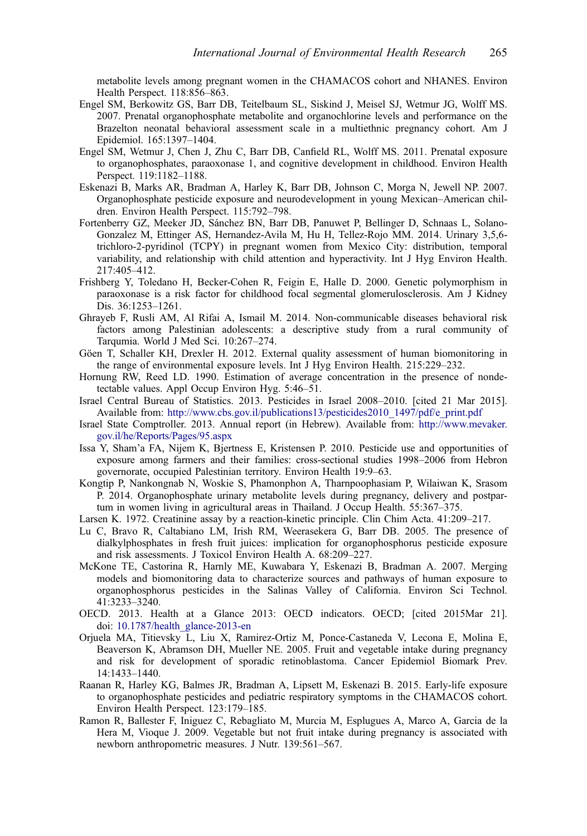<span id="page-12-0"></span>metabolite levels among pregnant women in the CHAMACOS cohort and NHANES. Environ Health Perspect. 118:856–863.

- Engel SM, Berkowitz GS, Barr DB, Teitelbaum SL, Siskind J, Meisel SJ, Wetmur JG, Wolff MS. 2007. Prenatal organophosphate metabolite and organochlorine levels and performance on the Brazelton neonatal behavioral assessment scale in a multiethnic pregnancy cohort. Am J Epidemiol. 165:1397–1404.
- Engel SM, Wetmur J, Chen J, Zhu C, Barr DB, Canfield RL, Wolff MS. 2011. Prenatal exposure to organophosphates, paraoxonase 1, and cognitive development in childhood. Environ Health Perspect. 119:1182–1188.
- Eskenazi B, Marks AR, Bradman A, Harley K, Barr DB, Johnson C, Morga N, Jewell NP. 2007. Organophosphate pesticide exposure and neurodevelopment in young Mexican–American children. Environ Health Perspect. 115:792–798.
- Fortenberry GZ, Meeker JD, Sánchez BN, Barr DB, Panuwet P, Bellinger D, Schnaas L, Solano-Gonzalez M, Ettinger AS, Hernandez-Avila M, Hu H, Tellez-Rojo MM. 2014. Urinary 3,5,6 trichloro-2-pyridinol (TCPY) in pregnant women from Mexico City: distribution, temporal variability, and relationship with child attention and hyperactivity. Int J Hyg Environ Health. 217:405–412.
- Frishberg Y, Toledano H, Becker-Cohen R, Feigin E, Halle D. 2000. Genetic polymorphism in paraoxonase is a risk factor for childhood focal segmental glomerulosclerosis. Am J Kidney Dis. 36:1253–1261.
- Ghrayeb F, Rusli AM, Al Rifai A, Ismail M. 2014. Non-communicable diseases behavioral risk factors among Palestinian adolescents: a descriptive study from a rural community of Tarqumia. World J Med Sci. 10:267–274.
- Göen T, Schaller KH, Drexler H. 2012. External quality assessment of human biomonitoring in the range of environmental exposure levels. Int J Hyg Environ Health. 215:229–232.
- Hornung RW, Reed LD. 1990. Estimation of average concentration in the presence of nondetectable values. Appl Occup Environ Hyg. 5:46–51.
- Israel Central Bureau of Statistics. 2013. Pesticides in Israel 2008–2010. [cited 21 Mar 2015]. Available from: [http://www.cbs.gov.il/publications13/pesticides2010\\_1497/pdf/e\\_print.pdf](http://www.cbs.gov.il/publications13/pesticides2010_1497/pdf/e_print.pdf)
- Israel State Comptroller. 2013. Annual report (in Hebrew). Available from: [http://www.mevaker.](http://www.mevaker.gov.il/he/Reports/Pages/95.aspx) [gov.il/he/Reports/Pages/95.aspx](http://www.mevaker.gov.il/he/Reports/Pages/95.aspx)
- Issa Y, Sham'a FA, Nijem K, Bjertness E, Kristensen P. 2010. Pesticide use and opportunities of exposure among farmers and their families: cross-sectional studies 1998–2006 from Hebron governorate, occupied Palestinian territory. Environ Health 19:9–63.
- Kongtip P, Nankongnab N, Woskie S, Phamonphon A, Tharnpoophasiam P, Wilaiwan K, Srasom P. 2014. Organophosphate urinary metabolite levels during pregnancy, delivery and postpartum in women living in agricultural areas in Thailand. J Occup Health. 55:367–375.
- Larsen K. 1972. Creatinine assay by a reaction-kinetic principle. Clin Chim Acta. 41:209–217.
- Lu C, Bravo R, Caltabiano LM, Irish RM, Weerasekera G, Barr DB. 2005. The presence of dialkylphosphates in fresh fruit juices: implication for organophosphorus pesticide exposure and risk assessments. J Toxicol Environ Health A. 68:209–227.
- McKone TE, Castorina R, Harnly ME, Kuwabara Y, Eskenazi B, Bradman A. 2007. Merging models and biomonitoring data to characterize sources and pathways of human exposure to organophosphorus pesticides in the Salinas Valley of California. Environ Sci Technol. 41:3233–3240.
- OECD. 2013. Health at a Glance 2013: OECD indicators. OECD; [cited 2015Mar 21]. doi: [10.1787/health\\_glance-2013-en](http://dx.doi.org/10.1787/health_glance-2013-en)
- Orjuela MA, Titievsky L, Liu X, Ramirez-Ortiz M, Ponce-Castaneda V, Lecona E, Molina E, Beaverson K, Abramson DH, Mueller NE. 2005. Fruit and vegetable intake during pregnancy and risk for development of sporadic retinoblastoma. Cancer Epidemiol Biomark Prev. 14:1433–1440.
- Raanan R, Harley KG, Balmes JR, Bradman A, Lipsett M, Eskenazi B. 2015. Early-life exposure to organophosphate pesticides and pediatric respiratory symptoms in the CHAMACOS cohort. Environ Health Perspect. 123:179–185.
- Ramon R, Ballester F, Iniguez C, Rebagliato M, Murcia M, Esplugues A, Marco A, Garcia de la Hera M, Vioque J. 2009. Vegetable but not fruit intake during pregnancy is associated with newborn anthropometric measures. J Nutr. 139:561–567.